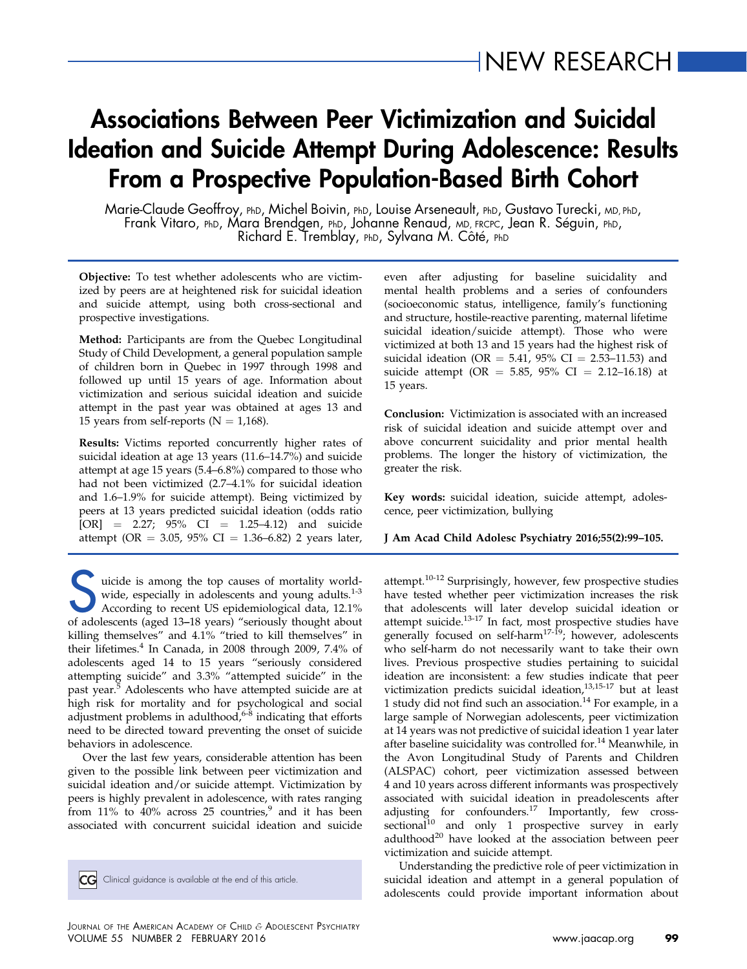# NEW RESEARCH

# Associations Between Peer Victimization and Suicidal Ideation and Suicide Attempt During Adolescence: Results From a Prospective Population-Based Birth Cohort

Marie-Claude Geoffroy, PhD, Michel Boivin, PhD, Louise Arseneault, PhD, Gustavo Turecki, MD, PhD, Richard E. Tremblay, PhD, Sylvana M. Côté, PhD Frank Vitaro, PhD, Mara Brendgen, PhD, Johanne Renaud, MD, FRCPC, Jean R. Séguin, PhD,

Objective: To test whether adolescents who are victimized by peers are at heightened risk for suicidal ideation and suicide attempt, using both cross-sectional and prospective investigations.

Method: Participants are from the Quebec Longitudinal Study of Child Development, a general population sample of children born in Quebec in 1997 through 1998 and followed up until 15 years of age. Information about victimization and serious suicidal ideation and suicide attempt in the past year was obtained at ages 13 and 15 years from self-reports ( $N = 1,168$ ).

Results: Victims reported concurrently higher rates of suicidal ideation at age 13 years (11.6–14.7%) and suicide attempt at age 15 years (5.4–6.8%) compared to those who had not been victimized (2.7–4.1% for suicidal ideation and 1.6–1.9% for suicide attempt). Being victimized by peers at 13 years predicted suicidal ideation (odds ratio  $[OR] = 2.27; 95\% CI = 1.25-4.12$  and suicide attempt (OR = 3.05, 95% CI = 1.36–6.82) 2 years later,

wicide is among the top causes of mortality worldwide, especially in adolescents and young adults.<sup>1-3</sup><br>According to recent US epidemiological data, 12.1%<br>of adolescents (aged 13–18 years) "seriously thought about wide, especially in adolescents and young adults.<sup>[1-3](#page-5-0)</sup> of adolescents (aged 13–18 years) "seriously thought about killing themselves" and 4.1% "tried to kill themselves" in their lifetimes.<sup>[4](#page-5-0)</sup> In Canada, in 2008 through 2009, 7.4% of adolescents aged 14 to 15 years "seriously considered attempting suicide" and 3.3% "attempted suicide" in the past year.<sup>[5](#page-5-0)</sup> Adolescents who have attempted suicide are at high risk for mortality and for psychological and social adjustment problems in adulthood,<sup>[6-8](#page-5-0)</sup> indicating that efforts need to be directed toward preventing the onset of suicide behaviors in adolescence.

Over the last few years, considerable attention has been given to the possible link between peer victimization and suicidal ideation and/or suicide attempt. Victimization by peers is highly prevalent in adolescence, with rates ranging from 11% to 40% across 25 countries, $9$  and it has been associated with concurrent suicidal ideation and suicide

CG Clinical guidance is available at the end of this article.

even after adjusting for baseline suicidality and mental health problems and a series of confounders (socioeconomic status, intelligence, family's functioning and structure, hostile-reactive parenting, maternal lifetime suicidal ideation/suicide attempt). Those who were victimized at both 13 and 15 years had the highest risk of suicidal ideation (OR = 5.41, 95% CI = 2.53–11.53) and suicide attempt (OR = 5.85, 95% CI = 2.12–16.18) at 15 years.

Conclusion: Victimization is associated with an increased risk of suicidal ideation and suicide attempt over and above concurrent suicidality and prior mental health problems. The longer the history of victimization, the greater the risk.

Key words: suicidal ideation, suicide attempt, adolescence, peer victimization, bullying

J Am Acad Child Adolesc Psychiatry 2016;55(2):99–105.

attempt.<sup>[10-12](#page-5-0)</sup> Surprisingly, however, few prospective studies have tested whether peer victimization increases the risk that adolescents will later develop suicidal ideation or attempt suicide. $13-17$  In fact, most prospective studies have generally focused on self-harm<sup>17-19</sup>; however, adolescents who self-harm do not necessarily want to take their own lives. Previous prospective studies pertaining to suicidal ideation are inconsistent: a few studies indicate that peer victimization predicts suicidal ideation,<sup>[13,15-17](#page-5-0)</sup> but at least 1 study did not find such an association.<sup>[14](#page-5-0)</sup> For example, in a large sample of Norwegian adolescents, peer victimization at 14 years was not predictive of suicidal ideation 1 year later after baseline suicidality was controlled for.<sup>[14](#page-5-0)</sup> Meanwhile, in the Avon Longitudinal Study of Parents and Children (ALSPAC) cohort, peer victimization assessed between 4 and 10 years across different informants was prospectively associated with suicidal ideation in preadolescents after adjusting for confounders.<sup>[17](#page-6-0)</sup> Importantly, few cross- $sectional<sup>10</sup>$  $sectional<sup>10</sup>$  $sectional<sup>10</sup>$  and only 1 prospective survey in early adulthood<sup>[20](#page-6-0)</sup> have looked at the association between peer victimization and suicide attempt.

Understanding the predictive role of peer victimization in suicidal ideation and attempt in a general population of adolescents could provide important information about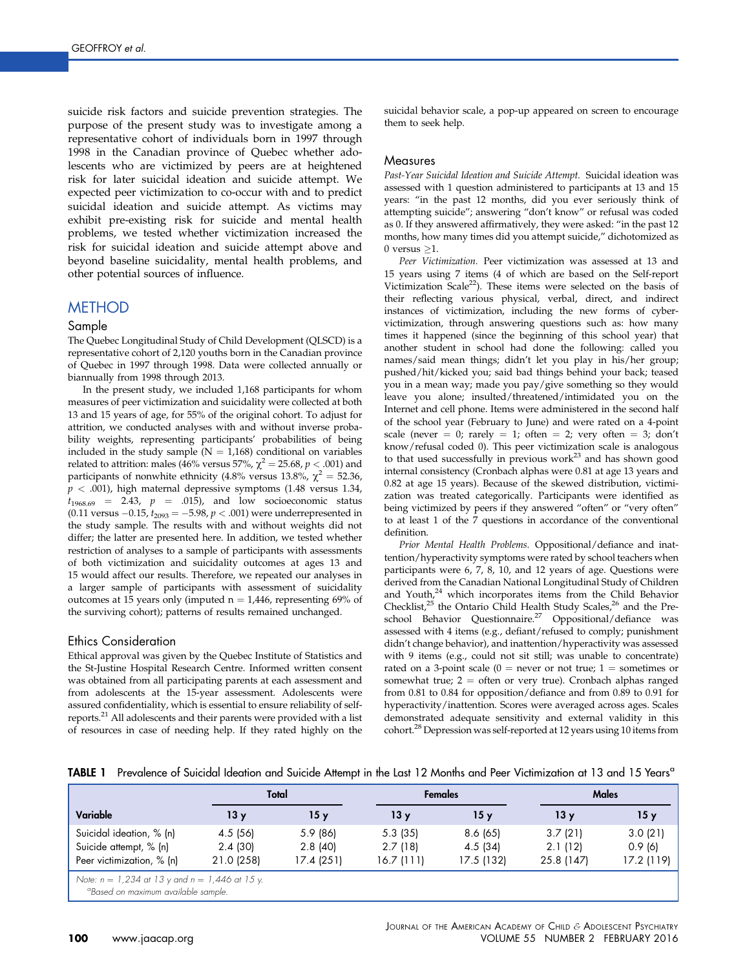<span id="page-1-0"></span>suicide risk factors and suicide prevention strategies. The purpose of the present study was to investigate among a representative cohort of individuals born in 1997 through 1998 in the Canadian province of Quebec whether adolescents who are victimized by peers are at heightened risk for later suicidal ideation and suicide attempt. We expected peer victimization to co-occur with and to predict suicidal ideation and suicide attempt. As victims may exhibit pre-existing risk for suicide and mental health problems, we tested whether victimization increased the risk for suicidal ideation and suicide attempt above and beyond baseline suicidality, mental health problems, and other potential sources of influence.

# **METHOD**

## Sample

The Quebec Longitudinal Study of Child Development (QLSCD) is a representative cohort of 2,120 youths born in the Canadian province of Quebec in 1997 through 1998. Data were collected annually or biannually from 1998 through 2013.

In the present study, we included 1,168 participants for whom measures of peer victimization and suicidality were collected at both 13 and 15 years of age, for 55% of the original cohort. To adjust for attrition, we conducted analyses with and without inverse probability weights, representing participants' probabilities of being included in the study sample ( $N = 1,168$ ) conditional on variables related to attrition: males (46% versus 57%,  $\chi^2$  = 25.68, p < .001) and participants of nonwhite ethnicity (4.8% versus 13.8%,  $\chi^2 = 52.36$ ,  $p < .001$ ), high maternal depressive symptoms (1.48 versus 1.34,  $t_{1968.69}$  = 2.43,  $p$  = .015), and low socioeconomic status  $(0.11 \text{ versus } -0.15, t_{2093} = -5.98, p < .001)$  were underrepresented in the study sample. The results with and without weights did not differ; the latter are presented here. In addition, we tested whether restriction of analyses to a sample of participants with assessments of both victimization and suicidality outcomes at ages 13 and 15 would affect our results. Therefore, we repeated our analyses in a larger sample of participants with assessment of suicidality outcomes at 15 years only (imputed  $n = 1,446$ , representing 69% of the surviving cohort); patterns of results remained unchanged.

## Ethics Consideration

Ethical approval was given by the Quebec Institute of Statistics and the St-Justine Hospital Research Centre. Informed written consent was obtained from all participating parents at each assessment and from adolescents at the 15-year assessment. Adolescents were assured confidentiality, which is essential to ensure reliability of selfreports.[21](#page-6-0) All adolescents and their parents were provided with a list of resources in case of needing help. If they rated highly on the suicidal behavior scale, a pop-up appeared on screen to encourage them to seek help.

### **Measures**

Past-Year Suicidal Ideation and Suicide Attempt. Suicidal ideation was assessed with 1 question administered to participants at 13 and 15 years: "in the past 12 months, did you ever seriously think of attempting suicide"; answering "don't know" or refusal was coded as 0. If they answered affirmatively, they were asked: "in the past 12 months, how many times did you attempt suicide," dichotomized as 0 versus  $>1$ .

Peer Victimization. Peer victimization was assessed at 13 and 15 years using 7 items (4 of which are based on the Self-report Victimization Scale<sup>22</sup>). These items were selected on the basis of their reflecting various physical, verbal, direct, and indirect instances of victimization, including the new forms of cybervictimization, through answering questions such as: how many times it happened (since the beginning of this school year) that another student in school had done the following: called you names/said mean things; didn't let you play in his/her group; pushed/hit/kicked you; said bad things behind your back; teased you in a mean way; made you pay/give something so they would leave you alone; insulted/threatened/intimidated you on the Internet and cell phone. Items were administered in the second half of the school year (February to June) and were rated on a 4-point scale (never  $= 0$ ; rarely  $= 1$ ; often  $= 2$ ; very often  $= 3$ ; don't know/refusal coded 0). This peer victimization scale is analogous to that used successfully in previous work $2<sup>3</sup>$  and has shown good internal consistency (Cronbach alphas were 0.81 at age 13 years and 0.82 at age 15 years). Because of the skewed distribution, victimization was treated categorically. Participants were identified as being victimized by peers if they answered "often" or "very often" to at least 1 of the 7 questions in accordance of the conventional definition.

Prior Mental Health Problems. Oppositional/defiance and inattention/hyperactivity symptoms were rated by school teachers when participants were 6, 7, 8, 10, and 12 years of age. Questions were derived from the Canadian National Longitudinal Study of Children and Youth, $24$  which incorporates items from the Child Behavior Checklist,<sup>[25](#page-6-0)</sup> the Ontario Child Health Study Scales,<sup>26</sup> and the Pre-school Behavior Questionnaire.<sup>[27](#page-6-0)</sup> Oppositional/defiance was assessed with 4 items (e.g., defiant/refused to comply; punishment didn't change behavior), and inattention/hyperactivity was assessed with 9 items (e.g., could not sit still; was unable to concentrate) rated on a 3-point scale  $(0 =$  never or not true; 1 = sometimes or somewhat true;  $2 =$  often or very true). Cronbach alphas ranged from 0.81 to 0.84 for opposition/defiance and from 0.89 to 0.91 for hyperactivity/inattention. Scores were averaged across ages. Scales demonstrated adequate sensitivity and external validity in this cohort.[28](#page-6-0) Depression was self-reported at 12 years using 10 items from

TABLE 1 Prevalence of Suicidal Ideation and Suicide Attempt in the Last 12 Months and Peer Victimization at 13 and 15 Years<sup>a</sup>

|                                                                                                       | Total                            |                                   | <b>Females</b>                  |                                  | <b>Males</b>                     |                                 |
|-------------------------------------------------------------------------------------------------------|----------------------------------|-----------------------------------|---------------------------------|----------------------------------|----------------------------------|---------------------------------|
| Variable                                                                                              | 13y                              | 15y                               | 13y                             | 15y                              | 13y                              | 15y                             |
| Suicidal ideation, % (n)<br>Suicide attempt, % (n)<br>Peer victimization, % (n)                       | 4.5(56)<br>2.4(30)<br>21.0 (258) | 5.9 (86)<br>2.8(40)<br>17.4 (251) | 5.3(35)<br>2.7(18)<br>16.7(111) | 8.6(65)<br>4.5(34)<br>17.5 (132) | 3.7(21)<br>2.1(12)<br>25.8 (147) | 3.0(21)<br>0.9(6)<br>17.2 (119) |
| Note: $n = 1,234$ at 13 y and $n = 1,446$ at 15 y.<br><sup>a</sup> Based on maximum available sample. |                                  |                                   |                                 |                                  |                                  |                                 |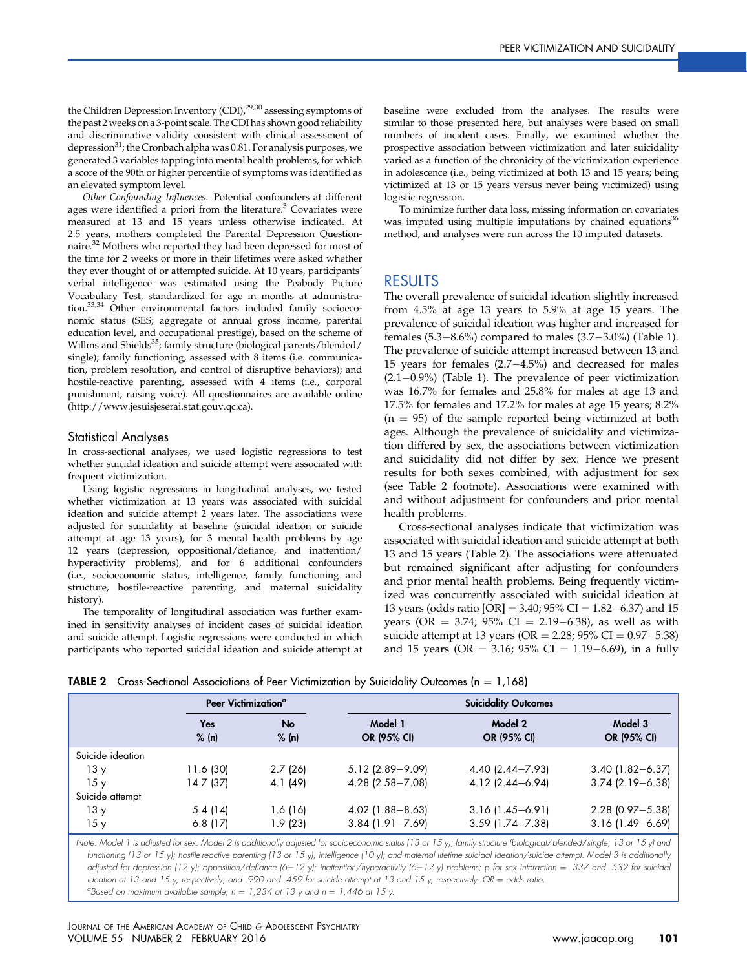the Children Depression Inventory (CDI),<sup>29,30</sup> assessing symptoms of the past 2 weeks on a 3-point scale. The CDI has shown good reliability and discriminative validity consistent with clinical assessment of depression $^{31}$ ; the Cronbach alpha was 0.81. For analysis purposes, we generated 3 variables tapping into mental health problems, for which a score of the 90th or higher percentile of symptoms was identified as an elevated symptom level.

Other Confounding Influences. Potential confounders at different ages were identified a priori from the literature.<sup>[3](#page-5-0)</sup> Covariates were measured at 13 and 15 years unless otherwise indicated. At 2.5 years, mothers completed the Parental Depression Questionnaire.<sup>32</sup> Mothers who reported they had been depressed for most of the time for 2 weeks or more in their lifetimes were asked whether they ever thought of or attempted suicide. At 10 years, participants' verbal intelligence was estimated using the Peabody Picture Vocabulary Test, standardized for age in months at administration.[33,34](#page-6-0) Other environmental factors included family socioeconomic status (SES; aggregate of annual gross income, parental education level, and occupational prestige), based on the scheme of Willms and Shields<sup>35</sup>; family structure (biological parents/blended/ single); family functioning, assessed with 8 items (i.e. communication, problem resolution, and control of disruptive behaviors); and hostile-reactive parenting, assessed with 4 items (i.e., corporal punishment, raising voice). All questionnaires are available online [\(http://www.jesuisjeserai.stat.gouv.qc.ca\)](http://www.jesuisjeserai.stat.gouv.qc.ca).

#### Statistical Analyses

In cross-sectional analyses, we used logistic regressions to test whether suicidal ideation and suicide attempt were associated with frequent victimization.

Using logistic regressions in longitudinal analyses, we tested whether victimization at 13 years was associated with suicidal ideation and suicide attempt 2 years later. The associations were adjusted for suicidality at baseline (suicidal ideation or suicide attempt at age 13 years), for 3 mental health problems by age 12 years (depression, oppositional/defiance, and inattention/ hyperactivity problems), and for 6 additional confounders (i.e., socioeconomic status, intelligence, family functioning and structure, hostile-reactive parenting, and maternal suicidality history).

The temporality of longitudinal association was further examined in sensitivity analyses of incident cases of suicidal ideation and suicide attempt. Logistic regressions were conducted in which participants who reported suicidal ideation and suicide attempt at baseline were excluded from the analyses. The results were similar to those presented here, but analyses were based on small numbers of incident cases. Finally, we examined whether the prospective association between victimization and later suicidality varied as a function of the chronicity of the victimization experience in adolescence (i.e., being victimized at both 13 and 15 years; being victimized at 13 or 15 years versus never being victimized) using logistic regression.

To minimize further data loss, missing information on covariates was imputed using multiple imputations by chained equations<sup>36</sup> method, and analyses were run across the 10 imputed datasets.

### RESULTS

The overall prevalence of suicidal ideation slightly increased from 4.5% at age 13 years to 5.9% at age 15 years. The prevalence of suicidal ideation was higher and increased for females (5.3-8.6%) compared to males (3.7-3.0%) [\(Table 1\)](#page-1-0). The prevalence of suicide attempt increased between 13 and 15 years for females (2.7-4.5%) and decreased for males (2.1-0.9%) ([Table 1\)](#page-1-0). The prevalence of peer victimization was 16.7% for females and 25.8% for males at age 13 and 17.5% for females and 17.2% for males at age 15 years; 8.2%  $(n = 95)$  of the sample reported being victimized at both ages. Although the prevalence of suicidality and victimization differed by sex, the associations between victimization and suicidality did not differ by sex. Hence we present results for both sexes combined, with adjustment for sex (see Table 2 footnote). Associations were examined with and without adjustment for confounders and prior mental health problems.

Cross-sectional analyses indicate that victimization was associated with suicidal ideation and suicide attempt at both 13 and 15 years (Table 2). The associations were attenuated but remained significant after adjusting for confounders and prior mental health problems. Being frequently victimized was concurrently associated with suicidal ideation at 13 years (odds ratio [OR] = 3.40;  $95\%$  CI = 1.82–6.37) and 15 years (OR = 3.74; 95% CI = 2.19–6.38), as well as with suicide attempt at 13 years ( $OR = 2.28$ ;  $95\% CI = 0.97 - 5.38$ ) and 15 years (OR = 3.16;  $95\%$  CI = 1.19–6.69), in a fully

|  |  |  |  | <b>TABLE 2</b> Cross-Sectional Associations of Peer Victimization by Suicidality Outcomes (n $= 1,168$ ) |  |  |
|--|--|--|--|----------------------------------------------------------------------------------------------------------|--|--|
|--|--|--|--|----------------------------------------------------------------------------------------------------------|--|--|

|                  | Peer Victimization <sup>a</sup> |                    |                        | <b>Suicidality Outcomes</b> |                               |  |  |
|------------------|---------------------------------|--------------------|------------------------|-----------------------------|-------------------------------|--|--|
|                  | <b>Yes</b><br>% (n)             | <b>No</b><br>% (n) | Model 1<br>OR (95% CI) | Model 2<br>OR (95% CI)      | Model 3<br><b>OR (95% CI)</b> |  |  |
| Suicide ideation |                                 |                    |                        |                             |                               |  |  |
| 13y              | 11.6 (30)                       | 2.7(26)            | 5.12 (2.89-9.09)       | $4.40$ (2.44-7.93)          | $3.40$ (1.82-6.37)            |  |  |
| 15y              | 14.7 (37)                       | 4.1 (49)           | 4.28 (2.58-7.08)       | $4.12$ (2.44 - 6.94)        | $3.74$ (2.19 - 6.38)          |  |  |
| Suicide attempt  |                                 |                    |                        |                             |                               |  |  |
| 13y              | 5.4(14)                         | 1.6(16)            | $4.02$ (1.88-8.63)     | $3.16(1.45 - 6.91)$         | $2.28$ (0.97-5.38)            |  |  |
| 15y              | 6.8(17)                         | 1.9(23)            | $3.84$ (1.91-7.69)     | $3.59$ (1.74-7.38)          | $3.16$ (1.49-6.69)            |  |  |

Note: Model 1 is adjusted for sex. Model 2 is additionally adjusted for socioeconomic status (13 or 15 y); family structure (biological/blended/single; 13 or 15 y) and functioning (13 or 15 y); hostile-reactive parenting (13 or 15 y); intelligence (10 y); and maternal lifetime suicidal ideation/suicide attempt. Model 3 is additionally adjusted for depression (12 y); opposition/defiance (6–12 y); inattention/hyperactivity (6–12 y) problems; p for sex interaction = .337 and .532 for suicidal ideation at 13 and 15 y, respectively; and .990 and .459 for suicide attempt at 13 and 15 y, respectively. OR = odds ratio.

<sup>a</sup>Based on maximum available sample;  $n = 1,234$  at 13 y and  $n = 1,446$  at 15 y.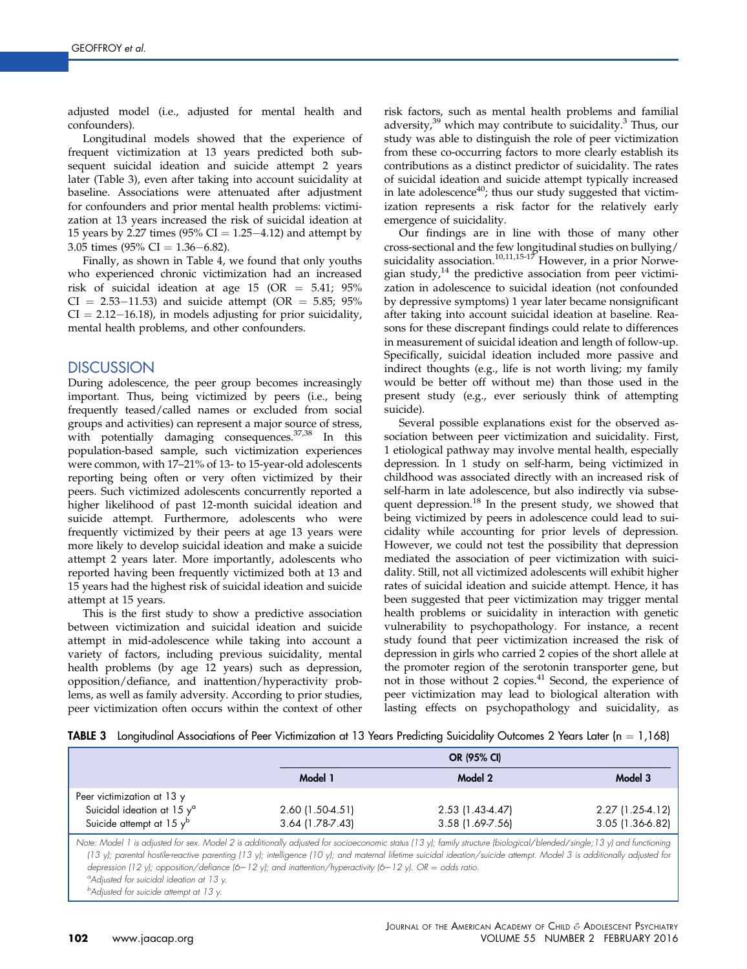adjusted model (i.e., adjusted for mental health and confounders).

Longitudinal models showed that the experience of frequent victimization at 13 years predicted both subsequent suicidal ideation and suicide attempt 2 years later (Table 3), even after taking into account suicidality at baseline. Associations were attenuated after adjustment for confounders and prior mental health problems: victimization at 13 years increased the risk of suicidal ideation at 15 years by 2.27 times  $(95\% \text{ CI} = 1.25-4.12)$  and attempt by 3.05 times (95% CI =  $1.36-6.82$ ).

Finally, as shown in [Table 4,](#page-4-0) we found that only youths who experienced chronic victimization had an increased risk of suicidal ideation at age 15 (OR  $=$  5.41; 95%  $CI = 2.53 - 11.53$ ) and suicide attempt (OR = 5.85; 95%)  $CI = 2.12 - 16.18$ ), in models adjusting for prior suicidality, mental health problems, and other confounders.

# **DISCUSSION**

During adolescence, the peer group becomes increasingly important. Thus, being victimized by peers (i.e., being frequently teased/called names or excluded from social groups and activities) can represent a major source of stress, with potentially damaging consequences.<sup>[37,38](#page-6-0)</sup> In this population-based sample, such victimization experiences were common, with 17–21% of 13- to 15-year-old adolescents reporting being often or very often victimized by their peers. Such victimized adolescents concurrently reported a higher likelihood of past 12-month suicidal ideation and suicide attempt. Furthermore, adolescents who were frequently victimized by their peers at age 13 years were more likely to develop suicidal ideation and make a suicide attempt 2 years later. More importantly, adolescents who reported having been frequently victimized both at 13 and 15 years had the highest risk of suicidal ideation and suicide attempt at 15 years.

This is the first study to show a predictive association between victimization and suicidal ideation and suicide attempt in mid-adolescence while taking into account a variety of factors, including previous suicidality, mental health problems (by age 12 years) such as depression, opposition/defiance, and inattention/hyperactivity problems, as well as family adversity. According to prior studies, peer victimization often occurs within the context of other

risk factors, such as mental health problems and familial adversity, $39$  which may contribute to suicidality.<sup>[3](#page-5-0)</sup> Thus, our study was able to distinguish the role of peer victimization from these co-occurring factors to more clearly establish its contributions as a distinct predictor of suicidality. The rates of suicidal ideation and suicide attempt typically increased in late adolescence $40$ ; thus our study suggested that victimization represents a risk factor for the relatively early emergence of suicidality.

Our findings are in line with those of many other cross-sectional and the few longitudinal studies on bullying/ suicidality association.<sup>[10,11,15-17](#page-5-0)</sup> However, in a prior Norwe-gian study,<sup>[14](#page-5-0)</sup> the predictive association from peer victimization in adolescence to suicidal ideation (not confounded by depressive symptoms) 1 year later became nonsignificant after taking into account suicidal ideation at baseline. Reasons for these discrepant findings could relate to differences in measurement of suicidal ideation and length of follow-up. Specifically, suicidal ideation included more passive and indirect thoughts (e.g., life is not worth living; my family would be better off without me) than those used in the present study (e.g., ever seriously think of attempting suicide).

Several possible explanations exist for the observed association between peer victimization and suicidality. First, 1 etiological pathway may involve mental health, especially depression. In 1 study on self-harm, being victimized in childhood was associated directly with an increased risk of self-harm in late adolescence, but also indirectly via subse-quent depression.<sup>[18](#page-6-0)</sup> In the present study, we showed that being victimized by peers in adolescence could lead to suicidality while accounting for prior levels of depression. However, we could not test the possibility that depression mediated the association of peer victimization with suicidality. Still, not all victimized adolescents will exhibit higher rates of suicidal ideation and suicide attempt. Hence, it has been suggested that peer victimization may trigger mental health problems or suicidality in interaction with genetic vulnerability to psychopathology. For instance, a recent study found that peer victimization increased the risk of depression in girls who carried 2 copies of the short allele at the promoter region of the serotonin transporter gene, but not in those without 2 copies.[41](#page-6-0) Second, the experience of peer victimization may lead to biological alteration with lasting effects on psychopathology and suicidality, as

**TABLE 3** Longitudinal Associations of Peer Victimization at 13 Years Predicting Suicidality Outcomes 2 Years Later ( $n = 1,168$ )

|                                                                                                                                                                         |                    | <b>OR (95% CI)</b> |                    |  |  |  |
|-------------------------------------------------------------------------------------------------------------------------------------------------------------------------|--------------------|--------------------|--------------------|--|--|--|
|                                                                                                                                                                         | Model 1            | Model 2            | Model 3            |  |  |  |
| Peer victimization at 13 y                                                                                                                                              |                    |                    |                    |  |  |  |
| Suicidal ideation at 15 y <sup>a</sup>                                                                                                                                  | 2.60 (1.50-4.51)   | 2.53 (1.43-4.47)   | 2.27 (1.25-4.12)   |  |  |  |
| Suicide attempt at $15y^b$                                                                                                                                              | $3.64$ (1.78-7.43) | 3.58 (1.69-7.56)   | $3.05$ (1.36-6.82) |  |  |  |
| Note: Model 1 is adjusted for sex. Model 2 is additionally adjusted for socioeconomic status (13 y); family structure (biological/blended/single; 13 y) and functioning |                    |                    |                    |  |  |  |

(13 y); parental hostile-reactive parenting (13 y); intelligence (10 y); and maternal lifetime suicidal ideation/suicide attempt. Model 3 is additionally adjusted for depression (12 y); opposition/defiance (6–12 y); and inattention/hyperactivity (6–12 y). OR = odds ratio. <sup>a</sup>Adjusted for suicidal ideation at 13 y.

 $^{\rm b}$ Adjusted for suicide attempt at 13 y.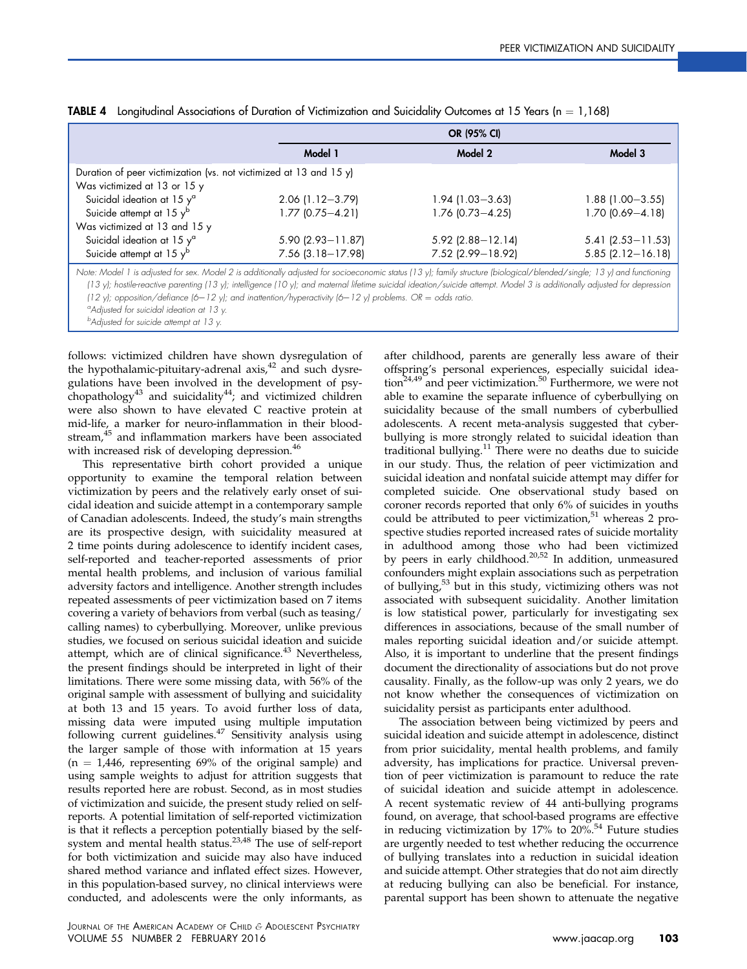|                                                                                                                                                                        |                       | OR (95% CI)           |                        |  |  |  |  |
|------------------------------------------------------------------------------------------------------------------------------------------------------------------------|-----------------------|-----------------------|------------------------|--|--|--|--|
|                                                                                                                                                                        | Model 1               | Model 2               | Model 3                |  |  |  |  |
| Duration of peer victimization (vs. not victimized at 13 and 15 y)                                                                                                     |                       |                       |                        |  |  |  |  |
| Was victimized at 13 or 15 y                                                                                                                                           |                       |                       |                        |  |  |  |  |
| Suicidal ideation at 15 y <sup>a</sup>                                                                                                                                 | $2.06$ (1.12-3.79)    | $1.94(1.03 - 3.63)$   | $1.88$ (1.00 $-3.55$ ) |  |  |  |  |
| Suicide attempt at $15y^b$                                                                                                                                             | $1.77$ (0.75 - 4.21)  | 1.76 (0.73 - 4.25)    | 1.70 (0.69-4.18)       |  |  |  |  |
| Was victimized at 13 and 15 y                                                                                                                                          |                       |                       |                        |  |  |  |  |
| Suicidal ideation at 15 y <sup>a</sup>                                                                                                                                 | $5.90$ (2.93 – 11.87) | $5.92$ (2.88 - 12.14) | $5.41$ (2.53 - 11.53)  |  |  |  |  |
| Suicide attempt at $15y^b$                                                                                                                                             | 7.56 (3.18 - 17.98)   | 7.52 (2.99 - 18.92)   | $5.85$ (2.12-16.18)    |  |  |  |  |
| Note: Model Lis adjusted for sex. Model 2 is additionally adjusted for socioeconomic status (13 y); family structure (biological/blonded/single: 13 y) and functioning |                       |                       |                        |  |  |  |  |

<span id="page-4-0"></span>

|  |  |  |  | <b>TABLE 4</b> Longitudinal Associations of Duration of Victimization and Suicidality Outcomes at 15 Years ( $n = 1,168$ ) |  |  |  |  |
|--|--|--|--|----------------------------------------------------------------------------------------------------------------------------|--|--|--|--|
|--|--|--|--|----------------------------------------------------------------------------------------------------------------------------|--|--|--|--|

Note: Model 1 is adjusted for sex. Model 2 is additionally adjusted for socioeconomic status (13 y); family structure (biological∕blended∕single; 13 y) and functioning (13 y); hostile-reactive parenting (13 y); intelligence (10 y); and maternal lifetime suicidal ideation/suicide attempt. Model 3 is additionally adjusted for depression

(12 y); opposition/defiance (6-12 y); and inattention/hyperactivity (6-12 y) problems. OR = odds ratio.

<sup>a</sup>Adjusted for suicidal ideation at 13 y.

<sup>b</sup>Adjusted for suicide attempt at 13 y.

follows: victimized children have shown dysregulation of the hypothalamic-pituitary-adrenal  $axis<sup>42</sup>$  $axis<sup>42</sup>$  $axis<sup>42</sup>$  and such dysregulations have been involved in the development of psy-chopathology<sup>[43](#page-6-0)</sup> and suicidality<sup>[44](#page-6-0)</sup>; and victimized children were also shown to have elevated C reactive protein at mid-life, a marker for neuro-inflammation in their bloodstream,[45](#page-6-0) and inflammation markers have been associated with increased risk of developing depression.<sup>[46](#page-6-0)</sup>

This representative birth cohort provided a unique opportunity to examine the temporal relation between victimization by peers and the relatively early onset of suicidal ideation and suicide attempt in a contemporary sample of Canadian adolescents. Indeed, the study's main strengths are its prospective design, with suicidality measured at 2 time points during adolescence to identify incident cases, self-reported and teacher-reported assessments of prior mental health problems, and inclusion of various familial adversity factors and intelligence. Another strength includes repeated assessments of peer victimization based on 7 items covering a variety of behaviors from verbal (such as teasing/ calling names) to cyberbullying. Moreover, unlike previous studies, we focused on serious suicidal ideation and suicide attempt, which are of clinical significance.<sup>[43](#page-6-0)</sup> Nevertheless, the present findings should be interpreted in light of their limitations. There were some missing data, with 56% of the original sample with assessment of bullying and suicidality at both 13 and 15 years. To avoid further loss of data, missing data were imputed using multiple imputation following current guidelines.<sup>[47](#page-6-0)</sup> Sensitivity analysis using the larger sample of those with information at 15 years  $(n = 1,446,$  representing 69% of the original sample) and using sample weights to adjust for attrition suggests that results reported here are robust. Second, as in most studies of victimization and suicide, the present study relied on selfreports. A potential limitation of self-reported victimization is that it reflects a perception potentially biased by the self-system and mental health status.<sup>[23,48](#page-6-0)</sup> The use of self-report for both victimization and suicide may also have induced shared method variance and inflated effect sizes. However, in this population-based survey, no clinical interviews were conducted, and adolescents were the only informants, as

after childhood, parents are generally less aware of their offspring's personal experiences, especially suicidal idea- $\frac{1}{24,49}$  $\frac{1}{24,49}$  $\frac{1}{24,49}$  and peer victimization.<sup>[50](#page-6-0)</sup> Furthermore, we were not able to examine the separate influence of cyberbullying on suicidality because of the small numbers of cyberbullied adolescents. A recent meta-analysis suggested that cyberbullying is more strongly related to suicidal ideation than traditional bullying. $11$  There were no deaths due to suicide in our study. Thus, the relation of peer victimization and suicidal ideation and nonfatal suicide attempt may differ for completed suicide. One observational study based on coroner records reported that only 6% of suicides in youths could be attributed to peer victimization, $51$  whereas 2 prospective studies reported increased rates of suicide mortality in adulthood among those who had been victimized by peers in early childhood.<sup>[20,52](#page-6-0)</sup> In addition, unmeasured confounders might explain associations such as perpetration of bullying,[53](#page-6-0) but in this study, victimizing others was not associated with subsequent suicidality. Another limitation is low statistical power, particularly for investigating sex differences in associations, because of the small number of males reporting suicidal ideation and/or suicide attempt. Also, it is important to underline that the present findings document the directionality of associations but do not prove causality. Finally, as the follow-up was only 2 years, we do not know whether the consequences of victimization on suicidality persist as participants enter adulthood.

The association between being victimized by peers and suicidal ideation and suicide attempt in adolescence, distinct from prior suicidality, mental health problems, and family adversity, has implications for practice. Universal prevention of peer victimization is paramount to reduce the rate of suicidal ideation and suicide attempt in adolescence. A recent systematic review of 44 anti-bullying programs found, on average, that school-based programs are effective in reducing victimization by  $17\%$  to  $20\%$ <sup>[54](#page-6-0)</sup> Future studies are urgently needed to test whether reducing the occurrence of bullying translates into a reduction in suicidal ideation and suicide attempt. Other strategies that do not aim directly at reducing bullying can also be beneficial. For instance, parental support has been shown to attenuate the negative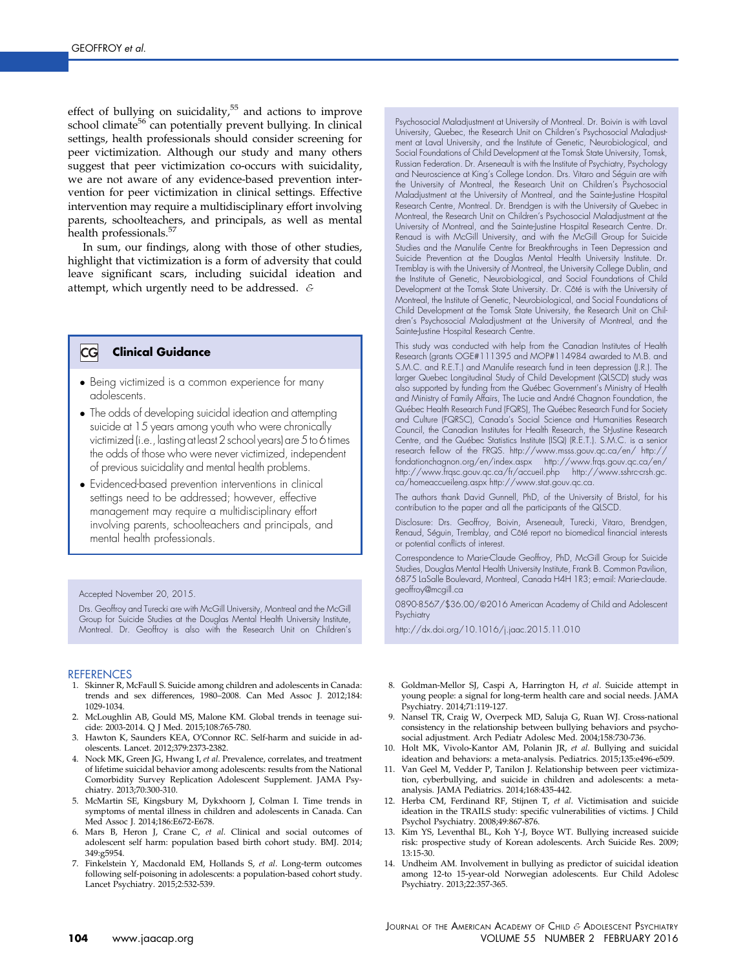<span id="page-5-0"></span>effect of bullying on suicidality, $55$  and actions to improve school climate<sup>[56](#page-6-0)</sup> can potentially prevent bullying. In clinical settings, health professionals should consider screening for peer victimization. Although our study and many others suggest that peer victimization co-occurs with suicidality, we are not aware of any evidence-based prevention intervention for peer victimization in clinical settings. Effective intervention may require a multidisciplinary effort involving parents, schoolteachers, and principals, as well as mental health professionals.<sup>[57](#page-6-0)</sup>

In sum, our findings, along with those of other studies, highlight that victimization is a form of adversity that could leave significant scars, including suicidal ideation and attempt, which urgently need to be addressed.  $\epsilon$ 

#### $|CG|$ Clinical Guidance

- Being victimized is a common experience for many adolescents.
- The odds of developing suicidal ideation and attempting suicide at 15 years among youth who were chronically victimized (i.e., lasting at least 2 school years) are 5 to 6 times the odds of those who were never victimized, independent of previous suicidality and mental health problems.
- Evidenced-based prevention interventions in clinical settings need to be addressed; however, effective management may require a multidisciplinary effort involving parents, schoolteachers and principals, and mental health professionals.

#### Accepted November 20, 2015.

Drs. Geoffroy and Turecki are with McGill University, Montreal and the McGill Group for Suicide Studies at the Douglas Mental Health University Institute, Montreal. Dr. Geoffroy is also with the Research Unit on Children's

#### **REFERENCES**

- 1. Skinner R, McFaull S. Suicide among children and adolescents in Canada: trends and sex differences, 1980–2008. Can Med Assoc J. 2012;184: 1029-1034.
- 2. McLoughlin AB, Gould MS, Malone KM. Global trends in teenage suicide: 2003-2014. Q J Med. 2015;108:765-780.
- 3. Hawton K, Saunders KEA, O'Connor RC. Self-harm and suicide in adolescents. Lancet. 2012;379:2373-2382.
- 4. Nock MK, Green JG, Hwang I, et al. Prevalence, correlates, and treatment of lifetime suicidal behavior among adolescents: results from the National Comorbidity Survey Replication Adolescent Supplement. JAMA Psychiatry. 2013;70:300-310.
- 5. McMartin SE, Kingsbury M, Dykxhoorn J, Colman I. Time trends in symptoms of mental illness in children and adolescents in Canada. Can Med Assoc J. 2014;186:E672-E678.
- 6. Mars B, Heron J, Crane C, et al. Clinical and social outcomes of adolescent self harm: population based birth cohort study. BMJ. 2014; 349:g5954.
- 7. Finkelstein Y, Macdonald EM, Hollands S, et al. Long-term outcomes following self-poisoning in adolescents: a population-based cohort study. Lancet Psychiatry. 2015;2:532-539.

Psychosocial Maladjustment at University of Montreal. Dr. Boivin is with Laval University, Quebec, the Research Unit on Children's Psychosocial Maladjustment at Laval University, and the Institute of Genetic, Neurobiological, and Social Foundations of Child Development at the Tomsk State University, Tomsk, Russian Federation. Dr. Arseneault is with the Institute of Psychiatry, Psychology and Neuroscience at King's College London. Drs. Vitaro and Seguin are with the University of Montreal, the Research Unit on Children's Psychosocial Maladjustment at the University of Montreal, and the Sainte-Justine Hospital Research Centre, Montreal. Dr. Brendgen is with the University of Quebec in Montreal, the Research Unit on Children's Psychosocial Maladjustment at the University of Montreal, and the Sainte-Justine Hospital Research Centre. Dr. Renaud is with McGill University, and with the McGill Group for Suicide Studies and the Manulife Centre for Breakthroughs in Teen Depression and Suicide Prevention at the Douglas Mental Health University Institute. Dr. Tremblay is with the University of Montreal, the University College Dublin, and the Institute of Genetic, Neurobiological, and Social Foundations of Child Development at the Tomsk State University. Dr. Côté is with the University of Montreal, the Institute of Genetic, Neurobiological, and Social Foundations of Child Development at the Tomsk State University, the Research Unit on Children's Psychosocial Maladjustment at the University of Montreal, and the Sainte-Justine Hospital Research Centre.

This study was conducted with help from the Canadian Institutes of Health Research (grants OGE#111395 and MOP#114984 awarded to M.B. and S.M.C. and R.E.T.) and Manulife research fund in teen depression (J.R.). The larger Quebec Longitudinal Study of Child Development (QLSCD) study was also supported by funding from the Québec Government's Ministry of Health and Ministry of Family Affairs, The Lucie and André Chagnon Foundation, the Quebec Health Research Fund (FQRS), The Quebec Research Fund for Society and Culture (FQRSC), Canada's Social Science and Humanities Research Council, the Canadian Institutes for Health Research, the St-Justine Research Centre, and the Québec Statistics Institute (ISQ) (R.E.T.). S.M.C. is a senior research fellow of the FRQS.<http://www.msss.gouv.qc.ca/en/> [http://](http://fondationchagnon.org/en/index.aspx) [fondationchagnon.org/en/index.aspx](http://fondationchagnon.org/en/index.aspx)<http://www.frqs.gouv.qc.ca/en/> <http://www.frqsc.gouv.qc.ca/fr/accueil.php> [http://www.sshrc-crsh.gc.](http://www.sshrc-crsh.gc.ca/homeaccueileng.aspx) [ca/homeaccueileng.aspx](http://www.sshrc-crsh.gc.ca/homeaccueileng.aspx)<http://www.stat.gouv.qc.ca>.

The authors thank David Gunnell, PhD, of the University of Bristol, for his contribution to the paper and all the participants of the QLSCD.

Disclosure: Drs. Geoffroy, Boivin, Arseneault, Turecki, Vitaro, Brendgen, Renaud, Séguin, Tremblay, and Côté report no biomedical financial interests or potential conflicts of interest.

Correspondence to Marie-Claude Geoffroy, PhD, McGill Group for Suicide Studies, Douglas Mental Health University Institute, Frank B. Common Pavilion, 6875 LaSalle Boulevard, Montreal, Canada H4H 1R3; e-mail: [Marie-claude.](mailto:Marie-claude.geoffroy@mcgill.ca) [geoffroy@mcgill.ca](mailto:Marie-claude.geoffroy@mcgill.ca)

0890-8567/\$36.00/@2016 American Academy of Child and Adolescent **Psychiatry** 

<http://dx.doi.org/10.1016/j.jaac.2015.11.010>

- 8. Goldman-Mellor SJ, Caspi A, Harrington H, et al. Suicide attempt in young people: a signal for long-term health care and social needs. JAMA Psychiatry. 2014;71:119-127.
- 9. Nansel TR, Craig W, Overpeck MD, Saluja G, Ruan WJ. Cross-national consistency in the relationship between bullying behaviors and psychosocial adjustment. Arch Pediatr Adolesc Med. 2004;158:730-736.
- 10. Holt MK, Vivolo-Kantor AM, Polanin JR, et al. Bullying and suicidal ideation and behaviors: a meta-analysis. Pediatrics. 2015;135:e496-e509.
- 11. Van Geel M, Vedder P, Tanilon J. Relationship between peer victimization, cyberbullying, and suicide in children and adolescents: a metaanalysis. JAMA Pediatrics. 2014;168:435-442.
- 12. Herba CM, Ferdinand RF, Stijnen T, et al. Victimisation and suicide ideation in the TRAILS study: specific vulnerabilities of victims. J Child Psychol Psychiatry. 2008;49:867-876.
- 13. Kim YS, Leventhal BL, Koh Y-J, Boyce WT. Bullying increased suicide risk: prospective study of Korean adolescents. Arch Suicide Res. 2009; 13:15-30.
- 14. Undheim AM. Involvement in bullying as predictor of suicidal ideation among 12-to 15-year-old Norwegian adolescents. Eur Child Adolesc Psychiatry. 2013;22:357-365.